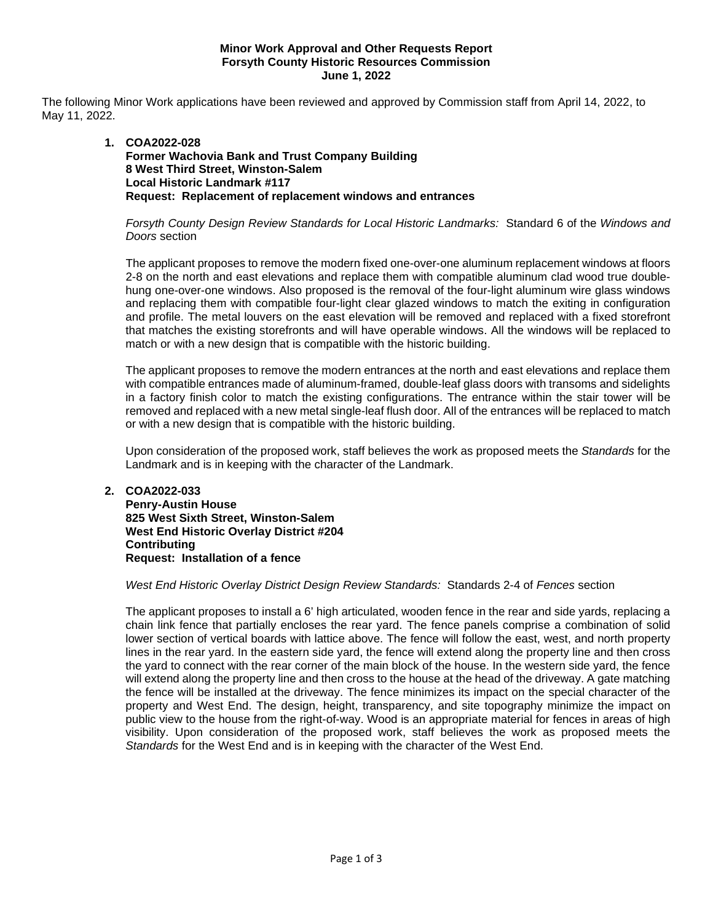## **Minor Work Approval and Other Requests Report Forsyth County Historic Resources Commission June 1, 2022**

The following Minor Work applications have been reviewed and approved by Commission staff from April 14, 2022, to May 11, 2022.

# **1. COA2022-028 Former Wachovia Bank and Trust Company Building 8 West Third Street, Winston-Salem Local Historic Landmark #117 Request: Replacement of replacement windows and entrances**

# *Forsyth County Design Review Standards for Local Historic Landmarks:* Standard 6 of the *Windows and Doors* section

The applicant proposes to remove the modern fixed one-over-one aluminum replacement windows at floors 2-8 on the north and east elevations and replace them with compatible aluminum clad wood true doublehung one-over-one windows. Also proposed is the removal of the four-light aluminum wire glass windows and replacing them with compatible four-light clear glazed windows to match the exiting in configuration and profile. The metal louvers on the east elevation will be removed and replaced with a fixed storefront that matches the existing storefronts and will have operable windows. All the windows will be replaced to match or with a new design that is compatible with the historic building.

The applicant proposes to remove the modern entrances at the north and east elevations and replace them with compatible entrances made of aluminum-framed, double-leaf glass doors with transoms and sidelights in a factory finish color to match the existing configurations. The entrance within the stair tower will be removed and replaced with a new metal single-leaf flush door. All of the entrances will be replaced to match or with a new design that is compatible with the historic building.

Upon consideration of the proposed work, staff believes the work as proposed meets the *Standards* for the Landmark and is in keeping with the character of the Landmark.

## **2. COA2022-033**

**Penry-Austin House 825 West Sixth Street, Winston-Salem West End Historic Overlay District #204 Contributing Request: Installation of a fence**

## *West End Historic Overlay District Design Review Standards:* Standards 2-4 of *Fences* section

The applicant proposes to install a 6' high articulated, wooden fence in the rear and side yards, replacing a chain link fence that partially encloses the rear yard. The fence panels comprise a combination of solid lower section of vertical boards with lattice above. The fence will follow the east, west, and north property lines in the rear yard. In the eastern side yard, the fence will extend along the property line and then cross the yard to connect with the rear corner of the main block of the house. In the western side yard, the fence will extend along the property line and then cross to the house at the head of the driveway. A gate matching the fence will be installed at the driveway. The fence minimizes its impact on the special character of the property and West End. The design, height, transparency, and site topography minimize the impact on public view to the house from the right-of-way. Wood is an appropriate material for fences in areas of high visibility. Upon consideration of the proposed work, staff believes the work as proposed meets the *Standards* for the West End and is in keeping with the character of the West End.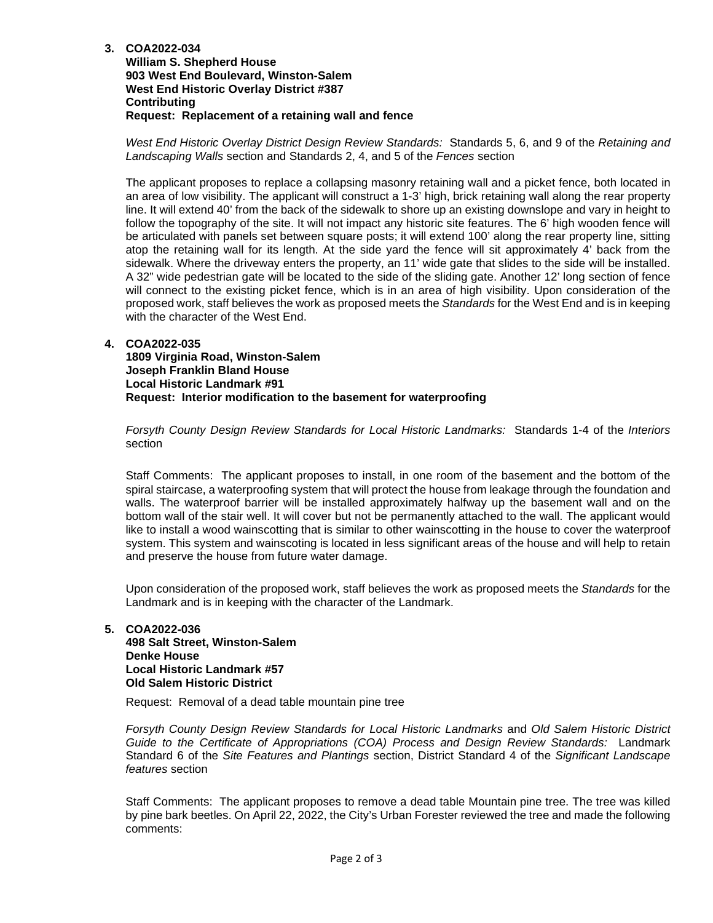**3. COA2022-034**

**William S. Shepherd House 903 West End Boulevard, Winston-Salem West End Historic Overlay District #387 Contributing Request: Replacement of a retaining wall and fence**

*West End Historic Overlay District Design Review Standards:* Standards 5, 6, and 9 of the *Retaining and Landscaping Walls* section and Standards 2, 4, and 5 of the *Fences* section

The applicant proposes to replace a collapsing masonry retaining wall and a picket fence, both located in an area of low visibility. The applicant will construct a 1-3' high, brick retaining wall along the rear property line. It will extend 40' from the back of the sidewalk to shore up an existing downslope and vary in height to follow the topography of the site. It will not impact any historic site features. The 6' high wooden fence will be articulated with panels set between square posts; it will extend 100' along the rear property line, sitting atop the retaining wall for its length. At the side yard the fence will sit approximately 4' back from the sidewalk. Where the driveway enters the property, an 11' wide gate that slides to the side will be installed. A 32" wide pedestrian gate will be located to the side of the sliding gate. Another 12' long section of fence will connect to the existing picket fence, which is in an area of high visibility. Upon consideration of the proposed work, staff believes the work as proposed meets the *Standards* for the West End and is in keeping with the character of the West End.

## **4. COA2022-035**

**1809 Virginia Road, Winston-Salem Joseph Franklin Bland House Local Historic Landmark #91 Request: Interior modification to the basement for waterproofing** 

*Forsyth County Design Review Standards for Local Historic Landmarks:* Standards 1-4 of the *Interiors* section

Staff Comments: The applicant proposes to install, in one room of the basement and the bottom of the spiral staircase, a waterproofing system that will protect the house from leakage through the foundation and walls. The waterproof barrier will be installed approximately halfway up the basement wall and on the bottom wall of the stair well. It will cover but not be permanently attached to the wall. The applicant would like to install a wood wainscotting that is similar to other wainscotting in the house to cover the waterproof system. This system and wainscoting is located in less significant areas of the house and will help to retain and preserve the house from future water damage.

Upon consideration of the proposed work, staff believes the work as proposed meets the *Standards* for the Landmark and is in keeping with the character of the Landmark.

## **5. COA2022-036**

**498 Salt Street, Winston-Salem Denke House Local Historic Landmark #57 Old Salem Historic District**

Request: Removal of a dead table mountain pine tree

*Forsyth County Design Review Standards for Local Historic Landmarks* and *Old Salem Historic District Guide to the Certificate of Appropriations (COA) Process and Design Review Standards:* Landmark Standard 6 of the *Site Features and Plantings* section, District Standard 4 of the *Significant Landscape features* section

Staff Comments: The applicant proposes to remove a dead table Mountain pine tree. The tree was killed by pine bark beetles. On April 22, 2022, the City's Urban Forester reviewed the tree and made the following comments: